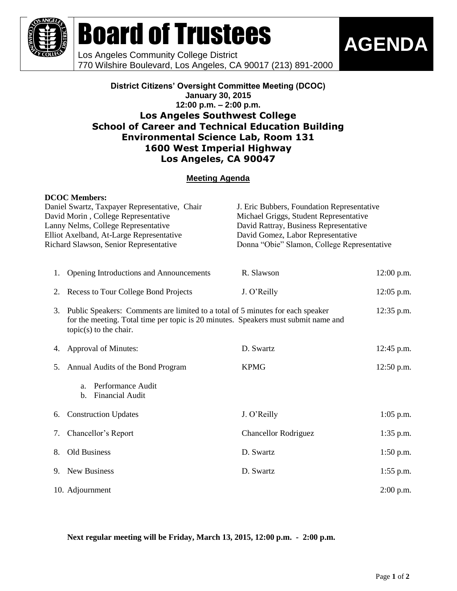

# Board of Trustees

Los Angeles Community College District 770 Wilshire Boulevard, Los Angeles, CA 90017 (213) 891-2000

#### **District Citizens' Oversight Committee Meeting (DCOC) January 30, 2015 12:00 p.m. – 2:00 p.m. Los Angeles Southwest College School of Career and Technical Education Building Environmental Science Lab, Room 131 1600 West Imperial Highway Los Angeles, CA 90047**

### **Meeting Agenda**

|                                                                                                                                                                  | <b>DCOC Members:</b>                                                                                                                                                                             |                                                                                                                                                                      |              |    |                                         |             |              |
|------------------------------------------------------------------------------------------------------------------------------------------------------------------|--------------------------------------------------------------------------------------------------------------------------------------------------------------------------------------------------|----------------------------------------------------------------------------------------------------------------------------------------------------------------------|--------------|----|-----------------------------------------|-------------|--------------|
|                                                                                                                                                                  | Daniel Swartz, Taxpayer Representative, Chair                                                                                                                                                    | J. Eric Bubbers, Foundation Representative                                                                                                                           |              |    |                                         |             |              |
| David Morin, College Representative<br>Lanny Nelms, College Representative<br>Elliot Axelband, At-Large Representative<br>Richard Slawson, Senior Representative |                                                                                                                                                                                                  | Michael Griggs, Student Representative<br>David Rattray, Business Representative<br>David Gomez, Labor Representative<br>Donna "Obie" Slamon, College Representative |              |    |                                         |             |              |
|                                                                                                                                                                  |                                                                                                                                                                                                  |                                                                                                                                                                      |              | 1. | Opening Introductions and Announcements | R. Slawson  | $12:00$ p.m. |
|                                                                                                                                                                  |                                                                                                                                                                                                  |                                                                                                                                                                      |              | 2. | Recess to Tour College Bond Projects    | J. O'Reilly | $12:05$ p.m. |
| 3.                                                                                                                                                               | Public Speakers: Comments are limited to a total of 5 minutes for each speaker<br>for the meeting. Total time per topic is 20 minutes. Speakers must submit name and<br>$topic(s)$ to the chair. |                                                                                                                                                                      | $12:35$ p.m. |    |                                         |             |              |
| 4.                                                                                                                                                               | Approval of Minutes:                                                                                                                                                                             | D. Swartz                                                                                                                                                            | 12:45 p.m.   |    |                                         |             |              |
| 5.                                                                                                                                                               | Annual Audits of the Bond Program                                                                                                                                                                | <b>KPMG</b>                                                                                                                                                          | 12:50 p.m.   |    |                                         |             |              |
|                                                                                                                                                                  | Performance Audit<br>a.<br><b>Financial Audit</b><br>b.                                                                                                                                          |                                                                                                                                                                      |              |    |                                         |             |              |
| 6.                                                                                                                                                               | <b>Construction Updates</b>                                                                                                                                                                      | J. O'Reilly                                                                                                                                                          | $1:05$ p.m.  |    |                                         |             |              |
| 7.                                                                                                                                                               | Chancellor's Report                                                                                                                                                                              | <b>Chancellor Rodriguez</b>                                                                                                                                          | $1:35$ p.m.  |    |                                         |             |              |
| 8.                                                                                                                                                               | Old Business                                                                                                                                                                                     | D. Swartz                                                                                                                                                            | $1:50$ p.m.  |    |                                         |             |              |
| 9.                                                                                                                                                               | New Business                                                                                                                                                                                     | D. Swartz                                                                                                                                                            | $1:55$ p.m.  |    |                                         |             |              |
|                                                                                                                                                                  | 10. Adjournment                                                                                                                                                                                  |                                                                                                                                                                      | $2:00$ p.m.  |    |                                         |             |              |

**Next regular meeting will be Friday, March 13, 2015, 12:00 p.m. - 2:00 p.m.**

**AGENDA**